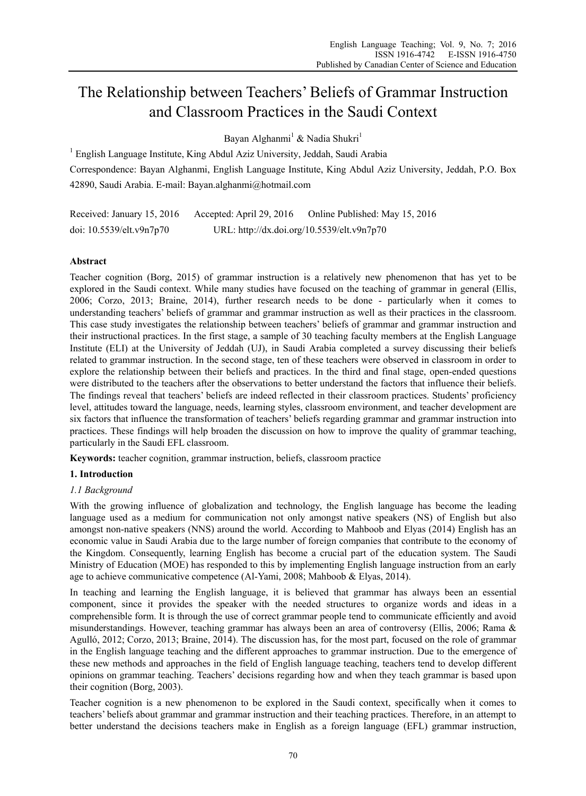# The Relationship between Teachers' Beliefs of Grammar Instruction and Classroom Practices in the Saudi Context

Bayan Alghanmi<sup>1</sup> & Nadia Shukri<sup>1</sup>

<sup>1</sup> English Language Institute, King Abdul Aziz University, Jeddah, Saudi Arabia Correspondence: Bayan Alghanmi, English Language Institute, King Abdul Aziz University, Jeddah, P.O. Box 42890, Saudi Arabia. E-mail: Bayan.alghanmi@hotmail.com

Received: January 15, 2016 Accepted: April 29, 2016 Online Published: May 15, 2016 doi: 10.5539/elt.v9n7p70 URL: http://dx.doi.org/10.5539/elt.v9n7p70

# **Abstract**

Teacher cognition (Borg, 2015) of grammar instruction is a relatively new phenomenon that has yet to be explored in the Saudi context. While many studies have focused on the teaching of grammar in general (Ellis, 2006; Corzo, 2013; Braine, 2014), further research needs to be done - particularly when it comes to understanding teachers' beliefs of grammar and grammar instruction as well as their practices in the classroom. This case study investigates the relationship between teachers' beliefs of grammar and grammar instruction and their instructional practices. In the first stage, a sample of 30 teaching faculty members at the English Language Institute (ELI) at the University of Jeddah (UJ), in Saudi Arabia completed a survey discussing their beliefs related to grammar instruction. In the second stage, ten of these teachers were observed in classroom in order to explore the relationship between their beliefs and practices. In the third and final stage, open-ended questions were distributed to the teachers after the observations to better understand the factors that influence their beliefs. The findings reveal that teachers' beliefs are indeed reflected in their classroom practices. Students' proficiency level, attitudes toward the language, needs, learning styles, classroom environment, and teacher development are six factors that influence the transformation of teachers' beliefs regarding grammar and grammar instruction into practices. These findings will help broaden the discussion on how to improve the quality of grammar teaching, particularly in the Saudi EFL classroom.

**Keywords:** teacher cognition, grammar instruction, beliefs, classroom practice

# **1. Introduction**

# *1.1 Background*

With the growing influence of globalization and technology, the English language has become the leading language used as a medium for communication not only amongst native speakers (NS) of English but also amongst non-native speakers (NNS) around the world. According to Mahboob and Elyas (2014) English has an economic value in Saudi Arabia due to the large number of foreign companies that contribute to the economy of the Kingdom. Consequently, learning English has become a crucial part of the education system. The Saudi Ministry of Education (MOE) has responded to this by implementing English language instruction from an early age to achieve communicative competence (Al-Yami, 2008; Mahboob & Elyas, 2014).

In teaching and learning the English language, it is believed that grammar has always been an essential component, since it provides the speaker with the needed structures to organize words and ideas in a comprehensible form. It is through the use of correct grammar people tend to communicate efficiently and avoid misunderstandings. However, teaching grammar has always been an area of controversy (Ellis, 2006; Rama & Agulló, 2012; Corzo, 2013; Braine, 2014). The discussion has, for the most part, focused on the role of grammar in the English language teaching and the different approaches to grammar instruction. Due to the emergence of these new methods and approaches in the field of English language teaching, teachers tend to develop different opinions on grammar teaching. Teachers' decisions regarding how and when they teach grammar is based upon their cognition (Borg, 2003).

Teacher cognition is a new phenomenon to be explored in the Saudi context, specifically when it comes to teachers' beliefs about grammar and grammar instruction and their teaching practices. Therefore, in an attempt to better understand the decisions teachers make in English as a foreign language (EFL) grammar instruction,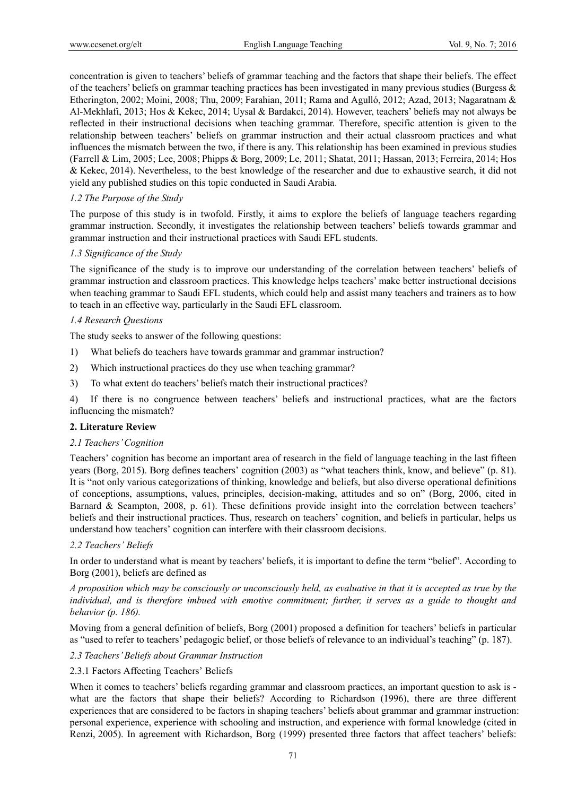concentration is given to teachers' beliefs of grammar teaching and the factors that shape their beliefs. The effect of the teachers' beliefs on grammar teaching practices has been investigated in many previous studies (Burgess  $\&$ Etherington, 2002; Moini, 2008; Thu, 2009; Farahian, 2011; Rama and Agulló, 2012; Azad, 2013; Nagaratnam & Al-Mekhlafi, 2013; Hos & Kekec, 2014; Uysal & Bardakci, 2014). However, teachers' beliefs may not always be reflected in their instructional decisions when teaching grammar. Therefore, specific attention is given to the relationship between teachers' beliefs on grammar instruction and their actual classroom practices and what influences the mismatch between the two, if there is any. This relationship has been examined in previous studies (Farrell & Lim, 2005; Lee, 2008; Phipps & Borg, 2009; Le, 2011; Shatat, 2011; Hassan, 2013; Ferreira, 2014; Hos & Kekec, 2014). Nevertheless, to the best knowledge of the researcher and due to exhaustive search, it did not yield any published studies on this topic conducted in Saudi Arabia.

# *1.2 The Purpose of the Study*

The purpose of this study is in twofold. Firstly, it aims to explore the beliefs of language teachers regarding grammar instruction. Secondly, it investigates the relationship between teachers' beliefs towards grammar and grammar instruction and their instructional practices with Saudi EFL students.

# *1.3 Significance of the Study*

The significance of the study is to improve our understanding of the correlation between teachers' beliefs of grammar instruction and classroom practices. This knowledge helps teachers' make better instructional decisions when teaching grammar to Saudi EFL students, which could help and assist many teachers and trainers as to how to teach in an effective way, particularly in the Saudi EFL classroom.

# *1.4 Research Questions*

The study seeks to answer of the following questions:

- 1) What beliefs do teachers have towards grammar and grammar instruction?
- 2) Which instructional practices do they use when teaching grammar?
- 3) To what extent do teachers' beliefs match their instructional practices?

4) If there is no congruence between teachers' beliefs and instructional practices, what are the factors influencing the mismatch?

# **2. Literature Review**

# *2.1 Teachers' Cognition*

Teachers' cognition has become an important area of research in the field of language teaching in the last fifteen years (Borg, 2015). Borg defines teachers' cognition (2003) as "what teachers think, know, and believe" (p. 81). It is "not only various categorizations of thinking, knowledge and beliefs, but also diverse operational definitions of conceptions, assumptions, values, principles, decision-making, attitudes and so on" (Borg, 2006, cited in Barnard & Scampton, 2008, p. 61). These definitions provide insight into the correlation between teachers' beliefs and their instructional practices. Thus, research on teachers' cognition, and beliefs in particular, helps us understand how teachers' cognition can interfere with their classroom decisions.

# *2.2 Teachers' Beliefs*

In order to understand what is meant by teachers' beliefs, it is important to define the term "belief". According to Borg (2001), beliefs are defined as

*A proposition which may be consciously or unconsciously held, as evaluative in that it is accepted as true by the individual, and is therefore imbued with emotive commitment; further, it serves as a guide to thought and behavior (p. 186).* 

Moving from a general definition of beliefs, Borg (2001) proposed a definition for teachers' beliefs in particular as "used to refer to teachers' pedagogic belief, or those beliefs of relevance to an individual's teaching" (p. 187).

*2.3 Teachers' Beliefs about Grammar Instruction* 

# 2.3.1 Factors Affecting Teachers' Beliefs

When it comes to teachers' beliefs regarding grammar and classroom practices, an important question to ask is what are the factors that shape their beliefs? According to Richardson (1996), there are three different experiences that are considered to be factors in shaping teachers' beliefs about grammar and grammar instruction: personal experience, experience with schooling and instruction, and experience with formal knowledge (cited in Renzi, 2005). In agreement with Richardson, Borg (1999) presented three factors that affect teachers' beliefs: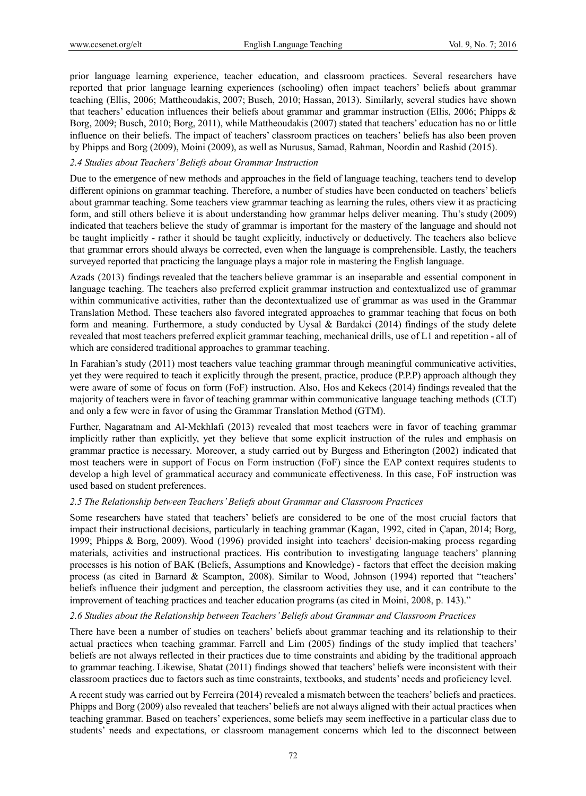prior language learning experience, teacher education, and classroom practices. Several researchers have reported that prior language learning experiences (schooling) often impact teachers' beliefs about grammar teaching (Ellis, 2006; Mattheoudakis, 2007; Busch, 2010; Hassan, 2013). Similarly, several studies have shown that teachers' education influences their beliefs about grammar and grammar instruction (Ellis, 2006; Phipps & Borg, 2009; Busch, 2010; Borg, 2011), while Mattheoudakis (2007) stated that teachers' education has no or little influence on their beliefs. The impact of teachers' classroom practices on teachers' beliefs has also been proven by Phipps and Borg (2009), Moini (2009), as well as Nurusus, Samad, Rahman, Noordin and Rashid (2015).

# *2.4 Studies about Teachers' Beliefs about Grammar Instruction*

Due to the emergence of new methods and approaches in the field of language teaching, teachers tend to develop different opinions on grammar teaching. Therefore, a number of studies have been conducted on teachers' beliefs about grammar teaching. Some teachers view grammar teaching as learning the rules, others view it as practicing form, and still others believe it is about understanding how grammar helps deliver meaning. Thu's study (2009) indicated that teachers believe the study of grammar is important for the mastery of the language and should not be taught implicitly - rather it should be taught explicitly, inductively or deductively. The teachers also believe that grammar errors should always be corrected, even when the language is comprehensible. Lastly, the teachers surveyed reported that practicing the language plays a major role in mastering the English language.

Azads (2013) findings revealed that the teachers believe grammar is an inseparable and essential component in language teaching. The teachers also preferred explicit grammar instruction and contextualized use of grammar within communicative activities, rather than the decontextualized use of grammar as was used in the Grammar Translation Method. These teachers also favored integrated approaches to grammar teaching that focus on both form and meaning. Furthermore, a study conducted by Uysal & Bardakci (2014) findings of the study delete revealed that most teachers preferred explicit grammar teaching, mechanical drills, use of L1 and repetition - all of which are considered traditional approaches to grammar teaching.

In Farahian's study (2011) most teachers value teaching grammar through meaningful communicative activities, yet they were required to teach it explicitly through the present, practice, produce (P.P.P) approach although they were aware of some of focus on form (FoF) instruction. Also, Hos and Kekecs (2014) findings revealed that the majority of teachers were in favor of teaching grammar within communicative language teaching methods (CLT) and only a few were in favor of using the Grammar Translation Method (GTM).

Further, Nagaratnam and Al-Mekhlafi (2013) revealed that most teachers were in favor of teaching grammar implicitly rather than explicitly, yet they believe that some explicit instruction of the rules and emphasis on grammar practice is necessary. Moreover, a study carried out by Burgess and Etherington (2002) indicated that most teachers were in support of Focus on Form instruction (FoF) since the EAP context requires students to develop a high level of grammatical accuracy and communicate effectiveness. In this case, FoF instruction was used based on student preferences.

#### *2.5 The Relationship between Teachers' Beliefs about Grammar and Classroom Practices*

Some researchers have stated that teachers' beliefs are considered to be one of the most crucial factors that impact their instructional decisions, particularly in teaching grammar (Kagan, 1992, cited in Çapan, 2014; Borg, 1999; Phipps & Borg, 2009). Wood (1996) provided insight into teachers' decision-making process regarding materials, activities and instructional practices. His contribution to investigating language teachers' planning processes is his notion of BAK (Beliefs, Assumptions and Knowledge) - factors that effect the decision making process (as cited in Barnard & Scampton, 2008). Similar to Wood, Johnson (1994) reported that "teachers' beliefs influence their judgment and perception, the classroom activities they use, and it can contribute to the improvement of teaching practices and teacher education programs (as cited in Moini, 2008, p. 143)."

# *2.6 Studies about the Relationship between Teachers' Beliefs about Grammar and Classroom Practices*

There have been a number of studies on teachers' beliefs about grammar teaching and its relationship to their actual practices when teaching grammar. Farrell and Lim (2005) findings of the study implied that teachers' beliefs are not always reflected in their practices due to time constraints and abiding by the traditional approach to grammar teaching. Likewise, Shatat (2011) findings showed that teachers' beliefs were inconsistent with their classroom practices due to factors such as time constraints, textbooks, and students' needs and proficiency level.

A recent study was carried out by Ferreira (2014) revealed a mismatch between the teachers' beliefs and practices. Phipps and Borg (2009) also revealed that teachers' beliefs are not always aligned with their actual practices when teaching grammar. Based on teachers' experiences, some beliefs may seem ineffective in a particular class due to students' needs and expectations, or classroom management concerns which led to the disconnect between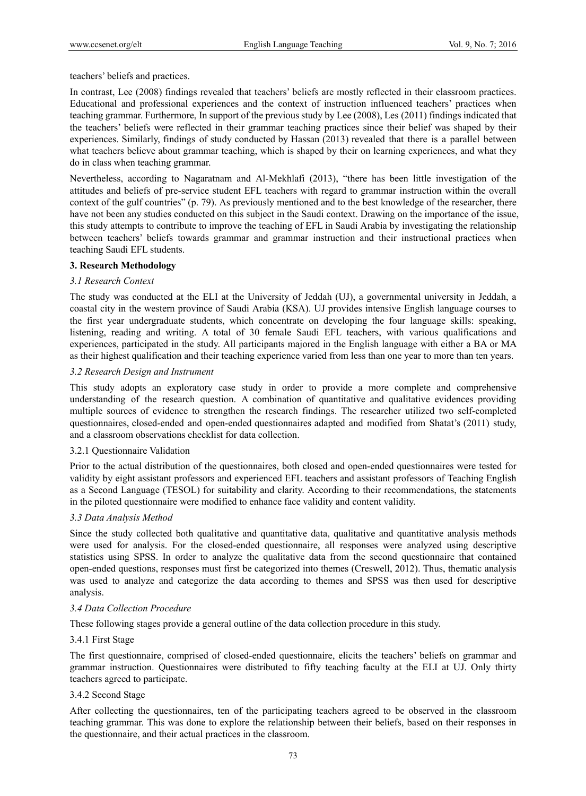teachers' beliefs and practices.

In contrast, Lee (2008) findings revealed that teachers' beliefs are mostly reflected in their classroom practices. Educational and professional experiences and the context of instruction influenced teachers' practices when teaching grammar. Furthermore, In support of the previous study by Lee (2008), Les (2011) findings indicated that the teachers' beliefs were reflected in their grammar teaching practices since their belief was shaped by their experiences. Similarly, findings of study conducted by Hassan (2013) revealed that there is a parallel between what teachers believe about grammar teaching, which is shaped by their on learning experiences, and what they do in class when teaching grammar.

Nevertheless, according to Nagaratnam and Al-Mekhlafi (2013), "there has been little investigation of the attitudes and beliefs of pre-service student EFL teachers with regard to grammar instruction within the overall context of the gulf countries" (p. 79). As previously mentioned and to the best knowledge of the researcher, there have not been any studies conducted on this subject in the Saudi context. Drawing on the importance of the issue, this study attempts to contribute to improve the teaching of EFL in Saudi Arabia by investigating the relationship between teachers' beliefs towards grammar and grammar instruction and their instructional practices when teaching Saudi EFL students.

# **3. Research Methodology**

### *3.1 Research Context*

The study was conducted at the ELI at the University of Jeddah (UJ), a governmental university in Jeddah, a coastal city in the western province of Saudi Arabia (KSA). UJ provides intensive English language courses to the first year undergraduate students, which concentrate on developing the four language skills: speaking, listening, reading and writing. A total of 30 female Saudi EFL teachers, with various qualifications and experiences, participated in the study. All participants majored in the English language with either a BA or MA as their highest qualification and their teaching experience varied from less than one year to more than ten years.

### *3.2 Research Design and Instrument*

This study adopts an exploratory case study in order to provide a more complete and comprehensive understanding of the research question. A combination of quantitative and qualitative evidences providing multiple sources of evidence to strengthen the research findings. The researcher utilized two self-completed questionnaires, closed-ended and open-ended questionnaires adapted and modified from Shatat's (2011) study, and a classroom observations checklist for data collection.

#### 3.2.1 Questionnaire Validation

Prior to the actual distribution of the questionnaires, both closed and open-ended questionnaires were tested for validity by eight assistant professors and experienced EFL teachers and assistant professors of Teaching English as a Second Language (TESOL) for suitability and clarity. According to their recommendations, the statements in the piloted questionnaire were modified to enhance face validity and content validity.

# *3.3 Data Analysis Method*

Since the study collected both qualitative and quantitative data, qualitative and quantitative analysis methods were used for analysis. For the closed-ended questionnaire, all responses were analyzed using descriptive statistics using SPSS. In order to analyze the qualitative data from the second questionnaire that contained open-ended questions, responses must first be categorized into themes (Creswell, 2012). Thus, thematic analysis was used to analyze and categorize the data according to themes and SPSS was then used for descriptive analysis.

#### *3.4 Data Collection Procedure*

These following stages provide a general outline of the data collection procedure in this study.

#### 3.4.1 First Stage

The first questionnaire, comprised of closed-ended questionnaire, elicits the teachers' beliefs on grammar and grammar instruction. Questionnaires were distributed to fifty teaching faculty at the ELI at UJ. Only thirty teachers agreed to participate.

#### 3.4.2 Second Stage

After collecting the questionnaires, ten of the participating teachers agreed to be observed in the classroom teaching grammar. This was done to explore the relationship between their beliefs, based on their responses in the questionnaire, and their actual practices in the classroom.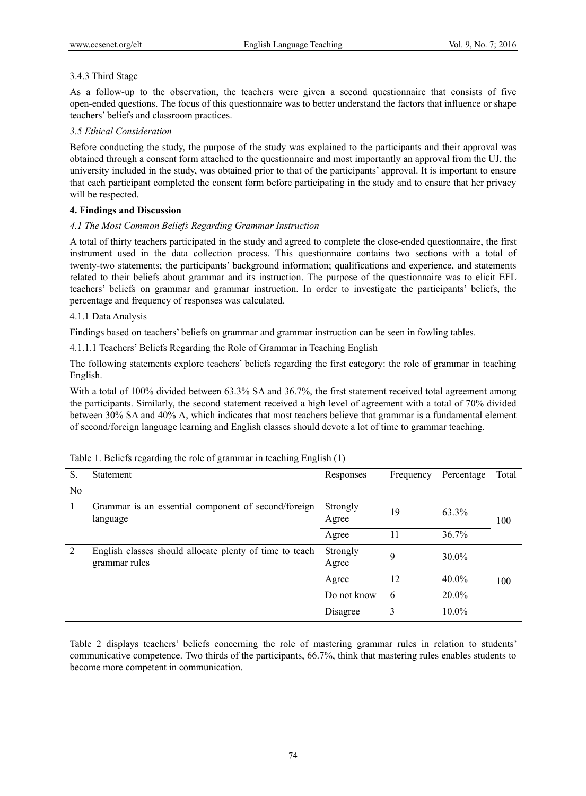# 3.4.3 Third Stage

As a follow-up to the observation, the teachers were given a second questionnaire that consists of five open-ended questions. The focus of this questionnaire was to better understand the factors that influence or shape teachers' beliefs and classroom practices.

# *3.5 Ethical Consideration*

Before conducting the study, the purpose of the study was explained to the participants and their approval was obtained through a consent form attached to the questionnaire and most importantly an approval from the UJ, the university included in the study, was obtained prior to that of the participants' approval. It is important to ensure that each participant completed the consent form before participating in the study and to ensure that her privacy will be respected.

# **4. Findings and Discussion**

# *4.1 The Most Common Beliefs Regarding Grammar Instruction*

A total of thirty teachers participated in the study and agreed to complete the close-ended questionnaire, the first instrument used in the data collection process. This questionnaire contains two sections with a total of twenty-two statements; the participants' background information; qualifications and experience, and statements related to their beliefs about grammar and its instruction. The purpose of the questionnaire was to elicit EFL teachers' beliefs on grammar and grammar instruction. In order to investigate the participants' beliefs, the percentage and frequency of responses was calculated.

# 4.1.1 Data Analysis

Findings based on teachers' beliefs on grammar and grammar instruction can be seen in fowling tables.

4.1.1.1 Teachers' Beliefs Regarding the Role of Grammar in Teaching English

The following statements explore teachers' beliefs regarding the first category: the role of grammar in teaching English.

With a total of 100% divided between 63.3% SA and 36.7%, the first statement received total agreement among the participants. Similarly, the second statement received a high level of agreement with a total of 70% divided between 30% SA and 40% A, which indicates that most teachers believe that grammar is a fundamental element of second/foreign language learning and English classes should devote a lot of time to grammar teaching.

| S. | <b>Statement</b>                                                         | Responses         | Frequency | Percentage | Total |
|----|--------------------------------------------------------------------------|-------------------|-----------|------------|-------|
| No |                                                                          |                   |           |            |       |
|    | Grammar is an essential component of second/foreign<br>language          | Strongly<br>Agree | 19        | 63.3%      | 100   |
|    |                                                                          | Agree             | 11        | 36.7%      |       |
| 2  | English classes should allocate plenty of time to teach<br>grammar rules | Strongly<br>Agree | 9         | 30.0%      |       |
|    |                                                                          | Agree             | 12        | $40.0\%$   | 100   |
|    |                                                                          | Do not know       | 6         | $20.0\%$   |       |
|    |                                                                          | Disagree          | 3         | 10.0%      |       |

|  |  | Table 1. Beliefs regarding the role of grammar in teaching English (1) |  |  |  |
|--|--|------------------------------------------------------------------------|--|--|--|
|  |  |                                                                        |  |  |  |
|  |  |                                                                        |  |  |  |
|  |  |                                                                        |  |  |  |

Table 2 displays teachers' beliefs concerning the role of mastering grammar rules in relation to students' communicative competence. Two thirds of the participants, 66.7%, think that mastering rules enables students to become more competent in communication.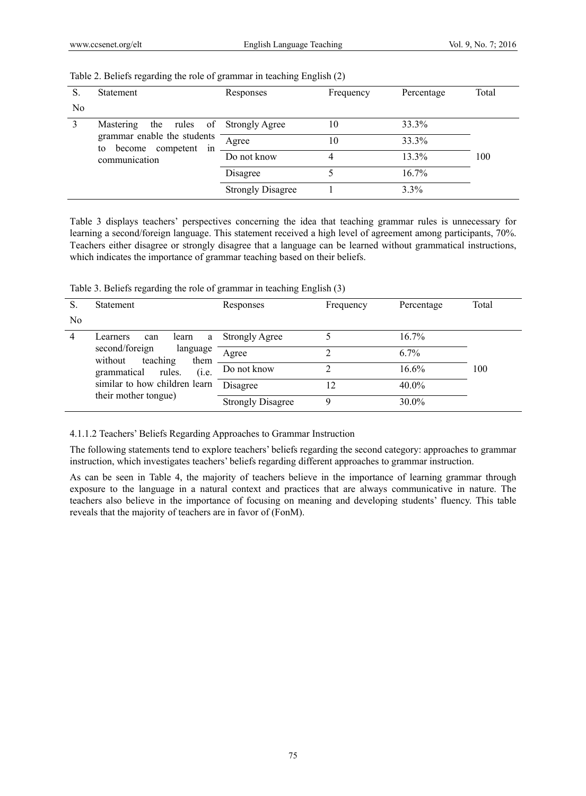| S. | <b>Statement</b>                                            | Responses                | Frequency | Percentage | Total |
|----|-------------------------------------------------------------|--------------------------|-----------|------------|-------|
| No |                                                             |                          |           |            |       |
| 3  | Mastering<br>the rules of Strongly Agree                    |                          | 10        | 33.3%      |       |
|    | grammar enable the students<br>become competent<br>to<br>1n | Agree                    | 10        | 33.3%      |       |
|    | communication                                               | Do not know              | 4         | 13.3%      | 100   |
|    |                                                             | Disagree                 |           | 16.7%      |       |
|    |                                                             | <b>Strongly Disagree</b> |           | $3.3\%$    |       |

#### Table 2. Beliefs regarding the role of grammar in teaching English (2)

Table 3 displays teachers' perspectives concerning the idea that teaching grammar rules is unnecessary for learning a second/foreign language. This statement received a high level of agreement among participants, 70%. Teachers either disagree or strongly disagree that a language can be learned without grammatical instructions, which indicates the importance of grammar teaching based on their beliefs.

Table 3. Beliefs regarding the role of grammar in teaching English (3)

| S.             | <b>Statement</b>                                          | Responses                | Frequency | Percentage | Total |
|----------------|-----------------------------------------------------------|--------------------------|-----------|------------|-------|
| N <sub>0</sub> |                                                           |                          |           |            |       |
| 4              | Learners<br>learn<br>can<br>a                             | <b>Strongly Agree</b>    |           | $16.7\%$   |       |
|                | second/foreign<br>language<br>without<br>teaching<br>them | Agree                    |           | $6.7\%$    |       |
|                | (i.e.<br>grammatical<br>rules.                            | Do not know              |           | 16.6%      | 100   |
|                | similar to how children learn                             | Disagree                 | 12        | $40.0\%$   |       |
|                | their mother tongue)                                      | <b>Strongly Disagree</b> | Ω         | $30.0\%$   |       |

4.1.1.2 Teachers' Beliefs Regarding Approaches to Grammar Instruction

The following statements tend to explore teachers' beliefs regarding the second category: approaches to grammar instruction, which investigates teachers' beliefs regarding different approaches to grammar instruction.

As can be seen in Table 4, the majority of teachers believe in the importance of learning grammar through exposure to the language in a natural context and practices that are always communicative in nature. The teachers also believe in the importance of focusing on meaning and developing students' fluency. This table reveals that the majority of teachers are in favor of (FonM).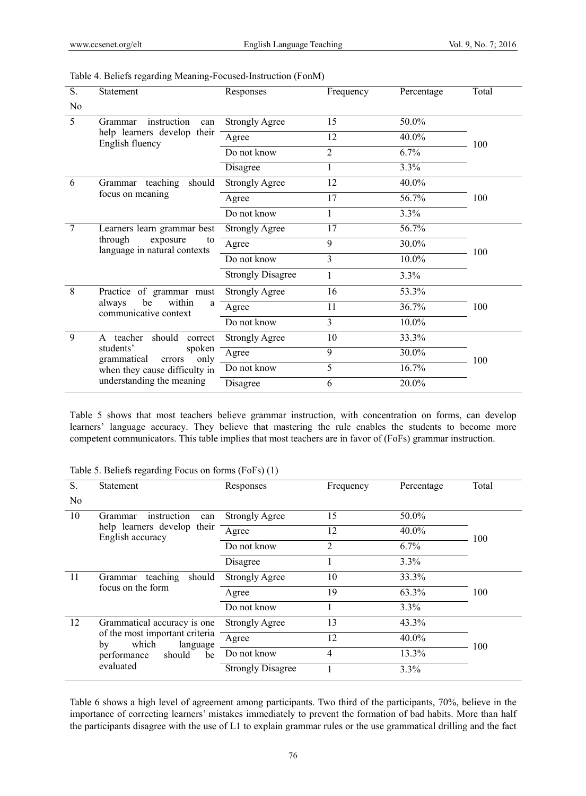| S.             | Statement                                                                                | Responses                | Frequency      | Percentage | Total |
|----------------|------------------------------------------------------------------------------------------|--------------------------|----------------|------------|-------|
| N <sub>0</sub> |                                                                                          |                          |                |            |       |
| 5              | instruction<br>Grammar<br>can                                                            | <b>Strongly Agree</b>    | 15             | 50.0%      |       |
|                | help learners develop their<br>English fluency                                           | Agree                    | 12             | 40.0%      | 100   |
|                |                                                                                          | Do not know              | $\overline{2}$ | 6.7%       |       |
|                |                                                                                          | Disagree                 |                | 3.3%       |       |
| -6             | teaching<br>should<br>Grammar                                                            | <b>Strongly Agree</b>    | 12             | 40.0%      |       |
|                | focus on meaning                                                                         | Agree                    | 17             | 56.7%      | 100   |
|                |                                                                                          | Do not know              |                | 3.3%       |       |
| 7              | Learners learn grammar best<br>through<br>exposure<br>to<br>language in natural contexts | <b>Strongly Agree</b>    | 17             | 56.7%      |       |
|                |                                                                                          | Agree                    | 9              | 30.0%      | 100   |
|                |                                                                                          | Do not know              | 3              | 10.0%      |       |
|                |                                                                                          | <b>Strongly Disagree</b> | 1              | 3.3%       |       |
| 8              | Practice of grammar must                                                                 | <b>Strongly Agree</b>    | 16             | 53.3%      |       |
|                | within<br>be<br>always<br>a<br>communicative context                                     | Agree                    | 11             | 36.7%      | 100   |
|                |                                                                                          | Do not know              | 3              | 10.0%      |       |
| 9              | teacher<br>should<br>correct<br>A                                                        | <b>Strongly Agree</b>    | 10             | 33.3%      |       |
|                | students'<br>spoken<br>only<br>grammatical<br>errors                                     | Agree                    | 9              | 30.0%      | 100   |
|                | when they cause difficulty in                                                            | Do not know              | 5              | 16.7%      |       |
|                | understanding the meaning                                                                | Disagree                 | 6              | 20.0%      |       |

| Table 4. Beliefs regarding Meaning-Focused-Instruction (FonM) |  |  |
|---------------------------------------------------------------|--|--|
|                                                               |  |  |

Table 5 shows that most teachers believe grammar instruction, with concentration on forms, can develop learners' language accuracy. They believe that mastering the rule enables the students to become more competent communicators. This table implies that most teachers are in favor of (FoFs) grammar instruction.

| S.             | <b>Statement</b>                                          | Responses                | Frequency | Percentage | Total |
|----------------|-----------------------------------------------------------|--------------------------|-----------|------------|-------|
| N <sub>0</sub> |                                                           |                          |           |            |       |
| 10             | instruction<br>Grammar<br>can                             | <b>Strongly Agree</b>    | 15        | 50.0%      |       |
|                | help learners develop their<br>English accuracy           | Agree                    | 12        | $40.0\%$   | 100   |
|                |                                                           | Do not know              | 2         | $6.7\%$    |       |
|                |                                                           | Disagree                 |           | 3.3%       |       |
| 11             | teaching<br>should<br>Grammar                             | <b>Strongly Agree</b>    | 10        | 33.3%      |       |
|                | focus on the form                                         | Agree                    | 19        | 63.3%      | 100   |
|                |                                                           | Do not know              |           | 3.3%       |       |
| 12             | Grammatical accuracy is one                               | <b>Strongly Agree</b>    | 13        | 43.3%      |       |
|                | of the most important criteria<br>which<br>by<br>language | Agree                    | 12        | $40.0\%$   | 100   |
|                | should<br>be<br>performance                               | Do not know              | 4         | 13.3%      |       |
|                | evaluated                                                 | <b>Strongly Disagree</b> |           | 3.3%       |       |

Table 5. Beliefs regarding Focus on forms (FoFs) (1)

Table 6 shows a high level of agreement among participants. Two third of the participants, 70%, believe in the importance of correcting learners' mistakes immediately to prevent the formation of bad habits. More than half the participants disagree with the use of L1 to explain grammar rules or the use grammatical drilling and the fact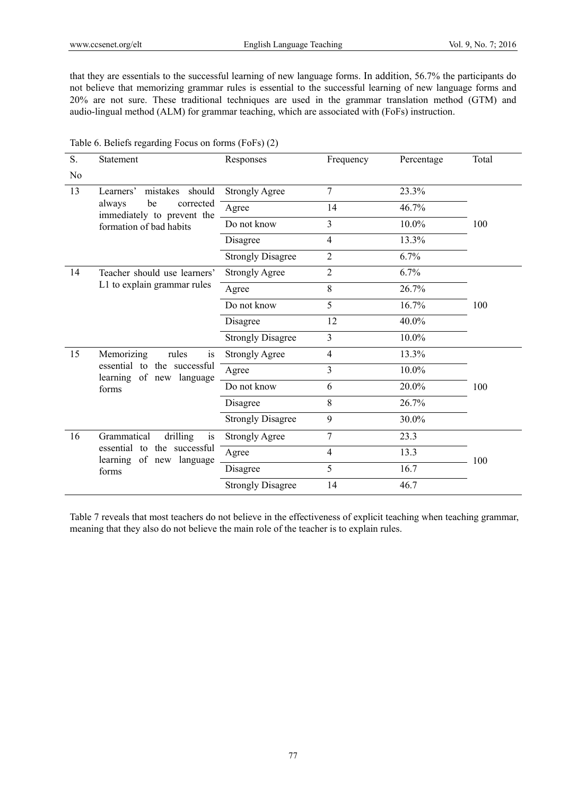that they are essentials to the successful learning of new language forms. In addition, 56.7% the participants do not believe that memorizing grammar rules is essential to the successful learning of new language forms and 20% are not sure. These traditional techniques are used in the grammar translation method (GTM) and audio-lingual method (ALM) for grammar teaching, which are associated with (FoFs) instruction.

| S.             | Statement                                               | Responses                | Frequency      | Percentage | Total |
|----------------|---------------------------------------------------------|--------------------------|----------------|------------|-------|
| N <sub>0</sub> |                                                         |                          |                |            |       |
| 13             | mistakes<br>Learners'<br>should                         | <b>Strongly Agree</b>    | 7              | 23.3%      |       |
|                | be<br>corrected<br>always<br>immediately to prevent the | Agree                    | 14             | 46.7%      |       |
|                | formation of bad habits                                 | Do not know              | 3              | 10.0%      | 100   |
|                |                                                         | Disagree                 | 4              | 13.3%      |       |
|                |                                                         | <b>Strongly Disagree</b> | $\overline{2}$ | 6.7%       |       |
| 14             | Teacher should use learners'                            | <b>Strongly Agree</b>    | $\overline{2}$ | 6.7%       |       |
|                | L1 to explain grammar rules                             | Agree                    | 8              | 26.7%      |       |
|                |                                                         | Do not know              | 5              | 16.7%      | 100   |
|                |                                                         | Disagree                 | 12             | 40.0%      |       |
|                |                                                         | <b>Strongly Disagree</b> | 3              | 10.0%      |       |
| 15             | Memorizing<br>rules<br><i>is</i>                        | <b>Strongly Agree</b>    | $\overline{4}$ | 13.3%      |       |
|                | essential to the successful<br>learning of new language | Agree                    | 3              | 10.0%      |       |
|                | forms                                                   | Do not know              | 6              | 20.0%      | 100   |
|                |                                                         | Disagree                 | 8              | 26.7%      |       |
|                |                                                         | <b>Strongly Disagree</b> | 9              | 30.0%      |       |
| 16             | Grammatical<br>drilling<br>is                           | <b>Strongly Agree</b>    | 7              | 23.3       |       |
|                | essential to the successful                             | Agree                    | 4              | 13.3       |       |
|                | learning of new language<br>forms                       | Disagree                 | 5              | 16.7       | 100   |
|                |                                                         | <b>Strongly Disagree</b> | 14             | 46.7       |       |

Table 6. Beliefs regarding Focus on forms (FoFs) (2)

Table 7 reveals that most teachers do not believe in the effectiveness of explicit teaching when teaching grammar, meaning that they also do not believe the main role of the teacher is to explain rules.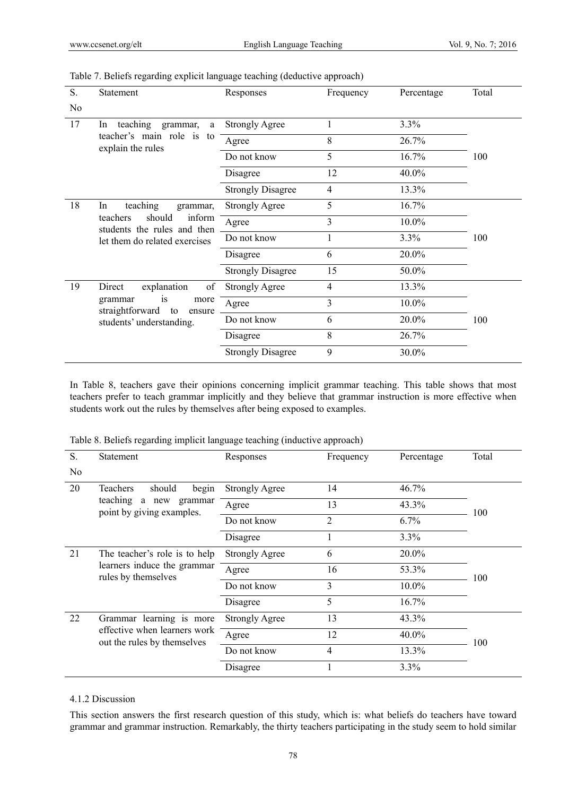| S. | <b>Statement</b>                                            | Responses                | Frequency | Percentage | Total |
|----|-------------------------------------------------------------|--------------------------|-----------|------------|-------|
| No |                                                             |                          |           |            |       |
| 17 | teaching grammar,<br>a<br><sub>In</sub>                     | <b>Strongly Agree</b>    |           | 3.3%       |       |
|    | teacher's main role is to<br>explain the rules              | Agree                    | 8         | 26.7%      |       |
|    |                                                             | Do not know              | 5         | 16.7%      | 100   |
|    |                                                             | Disagree                 | 12        | 40.0%      |       |
|    |                                                             | <b>Strongly Disagree</b> | 4         | 13.3%      |       |
| 18 | teaching<br>In<br>grammar,                                  | <b>Strongly Agree</b>    | 5         | 16.7%      |       |
|    | inform<br>should<br>teachers<br>students the rules and then | Agree                    | 3         | 10.0%      |       |
|    | let them do related exercises                               | Do not know              |           | 3.3%       | 100   |
|    |                                                             | Disagree                 | 6         | 20.0%      |       |
|    |                                                             | <b>Strongly Disagree</b> | 15        | 50.0%      |       |
| 19 | explanation<br>of<br>Direct                                 | <b>Strongly Agree</b>    | 4         | 13.3%      |       |
|    | grammar<br>1S<br>more<br>straightforward to<br>ensure       | Agree                    | 3         | 10.0%      |       |
|    | students' understanding.                                    | Do not know              | 6         | 20.0%      | 100   |
|    |                                                             | Disagree                 | 8         | 26.7%      |       |
|    |                                                             | <b>Strongly Disagree</b> | 9         | 30.0%      |       |

Table 7. Beliefs regarding explicit language teaching (deductive approach)

In Table 8, teachers gave their opinions concerning implicit grammar teaching. This table shows that most teachers prefer to teach grammar implicitly and they believe that grammar instruction is more effective when students work out the rules by themselves after being exposed to examples.

Table 8. Beliefs regarding implicit language teaching (inductive approach)

| S.  | <b>Statement</b>                                                                    | Responses<br>Frequency<br>Percentage |    | Total    |     |
|-----|-------------------------------------------------------------------------------------|--------------------------------------|----|----------|-----|
| No. |                                                                                     |                                      |    |          |     |
| 20  | <b>Teachers</b><br>should<br>begin                                                  | <b>Strongly Agree</b>                | 14 | 46.7%    |     |
|     | teaching<br>a new<br>grammar<br>point by giving examples.                           | Agree                                | 13 | 43.3%    | 100 |
|     |                                                                                     | Do not know                          | 2  | $6.7\%$  |     |
|     |                                                                                     | Disagree                             |    | 3.3%     |     |
| 21  | The teacher's role is to help<br>learners induce the grammar<br>rules by themselves | <b>Strongly Agree</b>                | 6  | 20.0%    |     |
|     |                                                                                     | Agree                                | 16 | 53.3%    | 100 |
|     |                                                                                     | Do not know                          | 3  | 10.0%    |     |
|     |                                                                                     | Disagree                             | 5  | $16.7\%$ |     |
| 22  | learning is more<br>Grammar                                                         | <b>Strongly Agree</b>                | 13 | 43.3%    |     |
|     | effective when learners work<br>out the rules by themselves                         | Agree                                | 12 | 40.0%    | 100 |
|     |                                                                                     | Do not know                          | 4  | 13.3%    |     |
|     |                                                                                     | Disagree                             |    | $3.3\%$  |     |

# 4.1.2 Discussion

This section answers the first research question of this study, which is: what beliefs do teachers have toward grammar and grammar instruction. Remarkably, the thirty teachers participating in the study seem to hold similar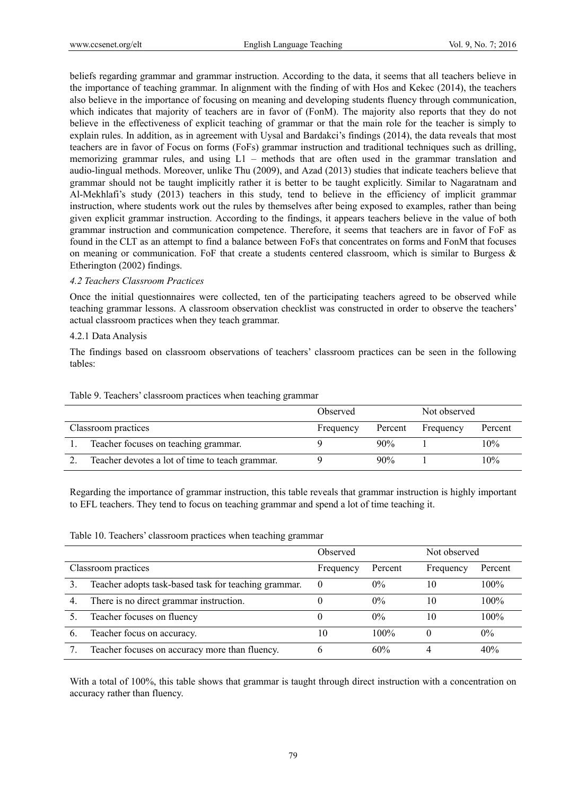beliefs regarding grammar and grammar instruction. According to the data, it seems that all teachers believe in the importance of teaching grammar. In alignment with the finding of with Hos and Kekec (2014), the teachers also believe in the importance of focusing on meaning and developing students fluency through communication, which indicates that majority of teachers are in favor of (FonM). The majority also reports that they do not believe in the effectiveness of explicit teaching of grammar or that the main role for the teacher is simply to explain rules. In addition, as in agreement with Uysal and Bardakci's findings (2014), the data reveals that most teachers are in favor of Focus on forms (FoFs) grammar instruction and traditional techniques such as drilling, memorizing grammar rules, and using L1 – methods that are often used in the grammar translation and audio-lingual methods. Moreover, unlike Thu (2009), and Azad (2013) studies that indicate teachers believe that grammar should not be taught implicitly rather it is better to be taught explicitly. Similar to Nagaratnam and Al-Mekhlafi's study (2013) teachers in this study, tend to believe in the efficiency of implicit grammar instruction, where students work out the rules by themselves after being exposed to examples, rather than being given explicit grammar instruction. According to the findings, it appears teachers believe in the value of both grammar instruction and communication competence. Therefore, it seems that teachers are in favor of FoF as found in the CLT as an attempt to find a balance between FoFs that concentrates on forms and FonM that focuses on meaning or communication. FoF that create a students centered classroom, which is similar to Burgess  $\&$ Etherington (2002) findings.

### *4.2 Teachers Classroom Practices*

Once the initial questionnaires were collected, ten of the participating teachers agreed to be observed while teaching grammar lessons. A classroom observation checklist was constructed in order to observe the teachers' actual classroom practices when they teach grammar.

### 4.2.1 Data Analysis

The findings based on classroom observations of teachers' classroom practices can be seen in the following tables:

|                                                 | Observed  |         | Not observed |         |
|-------------------------------------------------|-----------|---------|--------------|---------|
| Classroom practices                             | Frequency | Percent | Frequency    | Percent |
| Teacher focuses on teaching grammar.            |           | 90%     |              | 10%     |
| Teacher devotes a lot of time to teach grammar. |           | 90%     |              | 10%     |

Table 9. Teachers' classroom practices when teaching grammar

Regarding the importance of grammar instruction, this table reveals that grammar instruction is highly important to EFL teachers. They tend to focus on teaching grammar and spend a lot of time teaching it.

Table 10. Teachers' classroom practices when teaching grammar

|                  |                                                      | Observed  |         | Not observed |         |
|------------------|------------------------------------------------------|-----------|---------|--------------|---------|
|                  | Classroom practices                                  | Frequency | Percent | Frequency    | Percent |
|                  | Teacher adopts task-based task for teaching grammar. | $\theta$  | $0\%$   | 10           | $100\%$ |
| $\overline{4}$ . | There is no direct grammar instruction.              |           | $0\%$   | 10           | $100\%$ |
|                  | Teacher focuses on fluency                           |           | $0\%$   | 10           | $100\%$ |
| 6.               | Teacher focus on accuracy.                           | 10        | $100\%$ |              | $0\%$   |
|                  | Teacher focuses on accuracy more than fluency.       | h         | 60%     |              | 40%     |

With a total of 100%, this table shows that grammar is taught through direct instruction with a concentration on accuracy rather than fluency.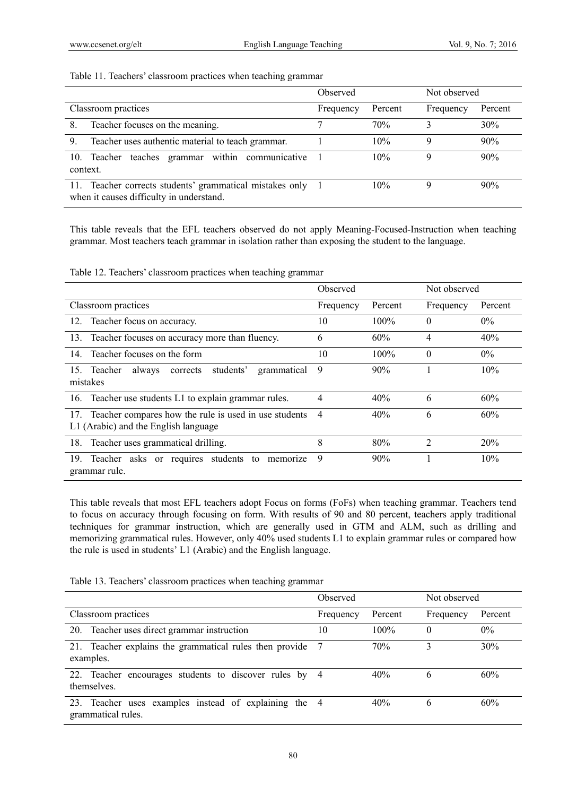# Table 11. Teachers' classroom practices when teaching grammar

|                                                                                                        | Observed  |         | Not observed |         |
|--------------------------------------------------------------------------------------------------------|-----------|---------|--------------|---------|
| Classroom practices                                                                                    | Frequency | Percent | Frequency    | Percent |
| Teacher focuses on the meaning.<br>8.                                                                  |           | 70%     |              | 30%     |
| Teacher uses authentic material to teach grammar.<br>9.                                                |           | 10%     | Q            | 90%     |
| within communicative<br>teaches grammar<br>10. Teacher<br>context.                                     |           | 10%     | Q            | 90%     |
| 11. Teacher corrects students' grammatical mistakes only 1<br>when it causes difficulty in understand. |           | 10%     | Q,           | 90%     |

This table reveals that the EFL teachers observed do not apply Meaning-Focused-Instruction when teaching grammar. Most teachers teach grammar in isolation rather than exposing the student to the language.

Table 12. Teachers' classroom practices when teaching grammar

|                                                                                                   | Observed  |         | Not observed   |         |
|---------------------------------------------------------------------------------------------------|-----------|---------|----------------|---------|
| Classroom practices                                                                               | Frequency | Percent | Frequency      | Percent |
| Teacher focus on accuracy.<br>12.                                                                 | 10        | $100\%$ | $\Omega$       | $0\%$   |
| Teacher focuses on accuracy more than fluency.<br>13.                                             | 6         | 60%     | 4              | 40%     |
| Teacher focuses on the form<br>14.                                                                | 10        | 100%    | $\theta$       | $0\%$   |
| students'<br>15. Teacher<br>always<br>grammatical<br>corrects<br>mistakes                         | 9         | 90%     |                | 10%     |
| 16. Teacher use students L1 to explain grammar rules.                                             | 4         | 40%     | 6              | 60%     |
| 17. Teacher compares how the rule is used in use students<br>L1 (Arabic) and the English language | 4         | 40%     | 6              | 60%     |
| 18. Teacher uses grammatical drilling.                                                            | 8         | 80%     | $\overline{2}$ | 20%     |
| Teacher asks or requires students<br>19.<br>to<br>memorize<br>grammar rule.                       | 9         | 90%     |                | 10%     |

This table reveals that most EFL teachers adopt Focus on forms (FoFs) when teaching grammar. Teachers tend to focus on accuracy through focusing on form. With results of 90 and 80 percent, teachers apply traditional techniques for grammar instruction, which are generally used in GTM and ALM, such as drilling and memorizing grammatical rules. However, only 40% used students L1 to explain grammar rules or compared how the rule is used in students' L1 (Arabic) and the English language.

| Table 13. Teachers' classroom practices when teaching grammar |  |  |  |  |  |  |  |
|---------------------------------------------------------------|--|--|--|--|--|--|--|
|---------------------------------------------------------------|--|--|--|--|--|--|--|

|                                                                             | Observed  |         | Not observed |         |
|-----------------------------------------------------------------------------|-----------|---------|--------------|---------|
| Classroom practices                                                         | Frequency | Percent | Frequency    | Percent |
| 20. Teacher uses direct grammar instruction                                 | 10        | $100\%$ | 0            | $0\%$   |
| 21. Teacher explains the grammatical rules then provide<br>examples.        |           | 70%     |              | 30%     |
| 22. Teacher encourages students to discover rules by 4<br>themselves.       |           | 40%     | b            | 60%     |
| 23. Teacher uses examples instead of explaining the 4<br>grammatical rules. |           | 40%     | b            | 60%     |

80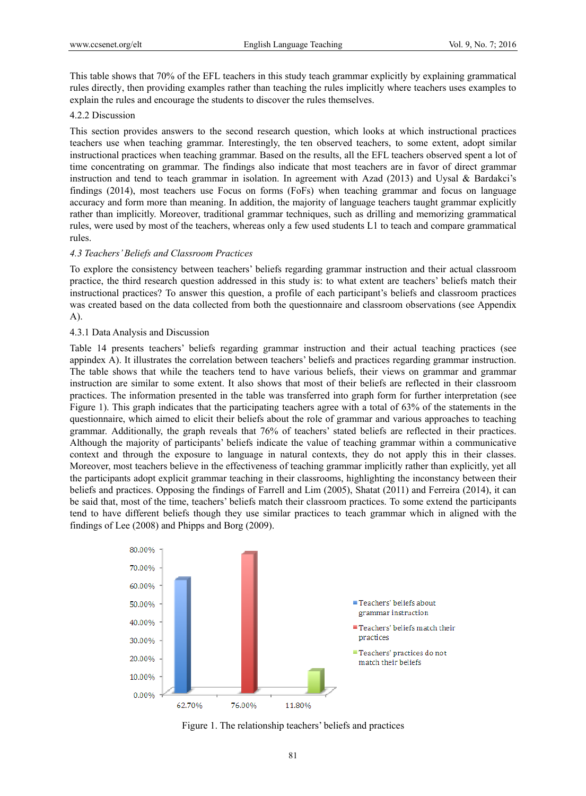This table shows that 70% of the EFL teachers in this study teach grammar explicitly by explaining grammatical rules directly, then providing examples rather than teaching the rules implicitly where teachers uses examples to explain the rules and encourage the students to discover the rules themselves.

# 4.2.2 Discussion

This section provides answers to the second research question, which looks at which instructional practices teachers use when teaching grammar. Interestingly, the ten observed teachers, to some extent, adopt similar instructional practices when teaching grammar. Based on the results, all the EFL teachers observed spent a lot of time concentrating on grammar. The findings also indicate that most teachers are in favor of direct grammar instruction and tend to teach grammar in isolation. In agreement with Azad (2013) and Uysal & Bardakci's findings (2014), most teachers use Focus on forms (FoFs) when teaching grammar and focus on language accuracy and form more than meaning. In addition, the majority of language teachers taught grammar explicitly rather than implicitly. Moreover, traditional grammar techniques, such as drilling and memorizing grammatical rules, were used by most of the teachers, whereas only a few used students L1 to teach and compare grammatical rules.

### *4.3 Teachers' Beliefs and Classroom Practices*

To explore the consistency between teachers' beliefs regarding grammar instruction and their actual classroom practice, the third research question addressed in this study is: to what extent are teachers' beliefs match their instructional practices? To answer this question, a profile of each participant's beliefs and classroom practices was created based on the data collected from both the questionnaire and classroom observations (see Appendix A).

### 4.3.1 Data Analysis and Discussion

Table 14 presents teachers' beliefs regarding grammar instruction and their actual teaching practices (see appindex A). It illustrates the correlation between teachers' beliefs and practices regarding grammar instruction. The table shows that while the teachers tend to have various beliefs, their views on grammar and grammar instruction are similar to some extent. It also shows that most of their beliefs are reflected in their classroom practices. The information presented in the table was transferred into graph form for further interpretation (see Figure 1). This graph indicates that the participating teachers agree with a total of 63% of the statements in the questionnaire, which aimed to elicit their beliefs about the role of grammar and various approaches to teaching grammar. Additionally, the graph reveals that 76% of teachers' stated beliefs are reflected in their practices. Although the majority of participants' beliefs indicate the value of teaching grammar within a communicative context and through the exposure to language in natural contexts, they do not apply this in their classes. Moreover, most teachers believe in the effectiveness of teaching grammar implicitly rather than explicitly, yet all the participants adopt explicit grammar teaching in their classrooms, highlighting the inconstancy between their beliefs and practices. Opposing the findings of Farrell and Lim (2005), Shatat (2011) and Ferreira (2014), it can be said that, most of the time, teachers' beliefs match their classroom practices. To some extend the participants tend to have different beliefs though they use similar practices to teach grammar which in aligned with the findings of Lee (2008) and Phipps and Borg (2009).



Figure 1. The relationship teachers' beliefs and practices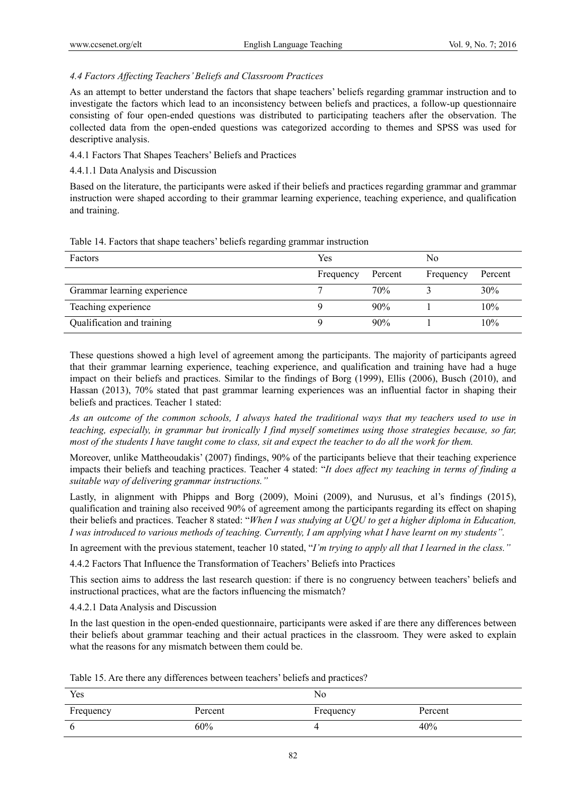# *4.4 Factors Affecting Teachers' Beliefs and Classroom Practices*

As an attempt to better understand the factors that shape teachers' beliefs regarding grammar instruction and to investigate the factors which lead to an inconsistency between beliefs and practices, a follow-up questionnaire consisting of four open-ended questions was distributed to participating teachers after the observation. The collected data from the open-ended questions was categorized according to themes and SPSS was used for descriptive analysis.

# 4.4.1 Factors That Shapes Teachers' Beliefs and Practices

# 4.4.1.1 Data Analysis and Discussion

Based on the literature, the participants were asked if their beliefs and practices regarding grammar and grammar instruction were shaped according to their grammar learning experience, teaching experience, and qualification and training.

|  |  |  |  | Table 14. Factors that shape teachers' beliefs regarding grammar instruction |
|--|--|--|--|------------------------------------------------------------------------------|
|  |  |  |  |                                                                              |

| Factors                     | Yes       |         | No        |         |
|-----------------------------|-----------|---------|-----------|---------|
|                             | Frequency | Percent | Frequency | Percent |
| Grammar learning experience |           | 70%     |           | 30%     |
| Teaching experience         |           | 90%     |           | 10%     |
| Qualification and training  |           | 90%     |           | 10%     |

These questions showed a high level of agreement among the participants. The majority of participants agreed that their grammar learning experience, teaching experience, and qualification and training have had a huge impact on their beliefs and practices. Similar to the findings of Borg (1999), Ellis (2006), Busch (2010), and Hassan (2013), 70% stated that past grammar learning experiences was an influential factor in shaping their beliefs and practices. Teacher 1 stated:

*As an outcome of the common schools, I always hated the traditional ways that my teachers used to use in teaching, especially, in grammar but ironically I find myself sometimes using those strategies because, so far, most of the students I have taught come to class, sit and expect the teacher to do all the work for them.* 

Moreover, unlike Mattheoudakis' (2007) findings, 90% of the participants believe that their teaching experience impacts their beliefs and teaching practices. Teacher 4 stated: "*It does affect my teaching in terms of finding a suitable way of delivering grammar instructions."*

Lastly, in alignment with Phipps and Borg (2009), Moini (2009), and Nurusus, et al's findings (2015), qualification and training also received 90% of agreement among the participants regarding its effect on shaping their beliefs and practices. Teacher 8 stated: "*When I was studying at UQU to get a higher diploma in Education, I was introduced to various methods of teaching. Currently, I am applying what I have learnt on my students".*

In agreement with the previous statement, teacher 10 stated, "*I'm trying to apply all that I learned in the class."*

4.4.2 Factors That Influence the Transformation of Teachers' Beliefs into Practices

This section aims to address the last research question: if there is no congruency between teachers' beliefs and instructional practices, what are the factors influencing the mismatch?

4.4.2.1 Data Analysis and Discussion

In the last question in the open-ended questionnaire, participants were asked if are there any differences between their beliefs about grammar teaching and their actual practices in the classroom. They were asked to explain what the reasons for any mismatch between them could be.

| Table 15. Are there any differences between teachers' beliefs and practices? |  |
|------------------------------------------------------------------------------|--|
|------------------------------------------------------------------------------|--|

| Yes       |         | No        |         |
|-----------|---------|-----------|---------|
| Frequency | Percent | Frequency | Percent |
|           | 60%     |           | 40%     |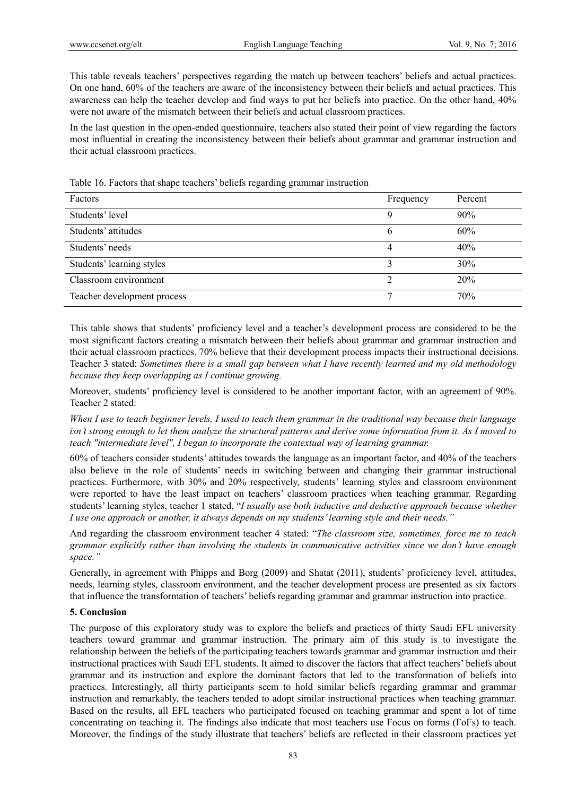This table reveals teachers' perspectives regarding the match up between teachers' beliefs and actual practices. On one hand, 60% of the teachers are aware of the inconsistency between their beliefs and actual practices. This awareness can help the teacher develop and find ways to put her beliefs into practice. On the other hand, 40% were not aware of the mismatch between their beliefs and actual classroom practices.

In the last question in the open-ended questionnaire, teachers also stated their point of view regarding the factors most influential in creating the inconsistency between their beliefs about grammar and grammar instruction and their actual classroom practices.

| Factors                     | Frequency | Percent |
|-----------------------------|-----------|---------|
| Students' level             |           | 90%     |
| Students' attitudes         | O         | 60%     |
| Students' needs             |           | 40%     |
| Students' learning styles   |           | 30%     |
| Classroom environment       |           | 20%     |
| Teacher development process |           | 70%     |

Table 16. Factors that shape teachers' beliefs regarding grammar instruction

This table shows that students' proficiency level and a teacher's development process are considered to be the most significant factors creating a mismatch between their beliefs about grammar and grammar instruction and their actual classroom practices. 70% believe that their development process impacts their instructional decisions. Teacher 3 stated: *Sometimes there is a small gap between what I have recently learned and my old methodology because they keep overlapping as I continue growing.*

Moreover, students' proficiency level is considered to be another important factor, with an agreement of 90%. Teacher 2 stated:

*When I use to teach beginner levels, I used to teach them grammar in the traditional way because their language isn't strong enough to let them analyze the structural patterns and derive some information from it. As I moved to teach "intermediate level", I began to incorporate the contextual way of learning grammar.* 

60% of teachers consider students' attitudes towards the language as an important factor, and 40% of the teachers also believe in the role of students' needs in switching between and changing their grammar instructional practices. Furthermore, with 30% and 20% respectively, students' learning styles and classroom environment were reported to have the least impact on teachers' classroom practices when teaching grammar. Regarding students' learning styles, teacher 1 stated, "*I usually use both inductive and deductive approach because whether I use one approach or another, it always depends on my students' learning style and their needs."*

And regarding the classroom environment teacher 4 stated: "*The classroom size, sometimes, force me to teach grammar explicitly rather than involving the students in communicative activities since we don't have enough space."* 

Generally, in agreement with Phipps and Borg (2009) and Shatat (2011), students' proficiency level, attitudes, needs, learning styles, classroom environment, and the teacher development process are presented as six factors that influence the transformation of teachers' beliefs regarding grammar and grammar instruction into practice.

# **5. Conclusion**

The purpose of this exploratory study was to explore the beliefs and practices of thirty Saudi EFL university teachers toward grammar and grammar instruction. The primary aim of this study is to investigate the relationship between the beliefs of the participating teachers towards grammar and grammar instruction and their instructional practices with Saudi EFL students. It aimed to discover the factors that affect teachers' beliefs about grammar and its instruction and explore the dominant factors that led to the transformation of beliefs into practices. Interestingly, all thirty participants seem to hold similar beliefs regarding grammar and grammar instruction and remarkably, the teachers tended to adopt similar instructional practices when teaching grammar. Based on the results, all EFL teachers who participated focused on teaching grammar and spent a lot of time concentrating on teaching it. The findings also indicate that most teachers use Focus on forms (FoFs) to teach. Moreover, the findings of the study illustrate that teachers' beliefs are reflected in their classroom practices yet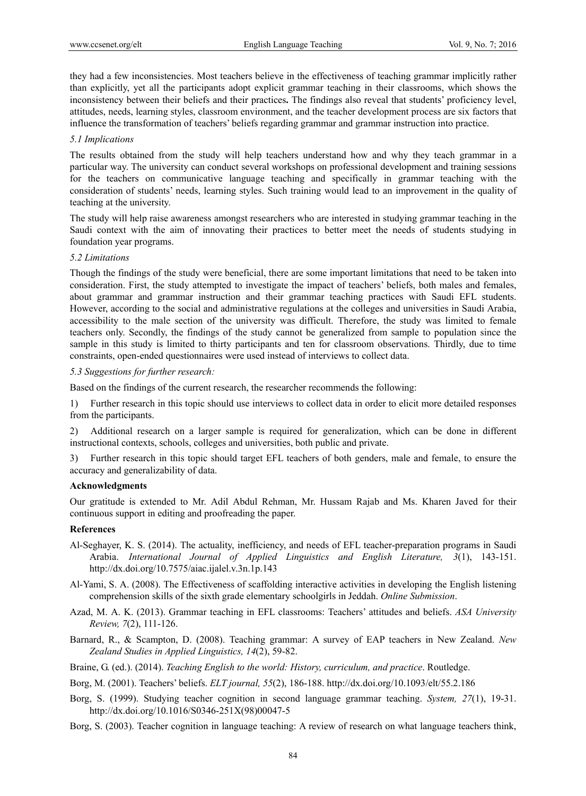they had a few inconsistencies. Most teachers believe in the effectiveness of teaching grammar implicitly rather than explicitly, yet all the participants adopt explicit grammar teaching in their classrooms, which shows the inconsistency between their beliefs and their practices**.** The findings also reveal that students' proficiency level, attitudes, needs, learning styles, classroom environment, and the teacher development process are six factors that influence the transformation of teachers' beliefs regarding grammar and grammar instruction into practice.

### *5.1 Implications*

The results obtained from the study will help teachers understand how and why they teach grammar in a particular way. The university can conduct several workshops on professional development and training sessions for the teachers on communicative language teaching and specifically in grammar teaching with the consideration of students' needs, learning styles. Such training would lead to an improvement in the quality of teaching at the university.

The study will help raise awareness amongst researchers who are interested in studying grammar teaching in the Saudi context with the aim of innovating their practices to better meet the needs of students studying in foundation year programs.

### *5.2 Limitations*

Though the findings of the study were beneficial, there are some important limitations that need to be taken into consideration. First, the study attempted to investigate the impact of teachers' beliefs, both males and females, about grammar and grammar instruction and their grammar teaching practices with Saudi EFL students. However, according to the social and administrative regulations at the colleges and universities in Saudi Arabia, accessibility to the male section of the university was difficult. Therefore, the study was limited to female teachers only. Secondly, the findings of the study cannot be generalized from sample to population since the sample in this study is limited to thirty participants and ten for classroom observations. Thirdly, due to time constraints, open-ended questionnaires were used instead of interviews to collect data.

### *5.3 Suggestions for further research:*

Based on the findings of the current research, the researcher recommends the following:

1) Further research in this topic should use interviews to collect data in order to elicit more detailed responses from the participants.

2) Additional research on a larger sample is required for generalization, which can be done in different instructional contexts, schools, colleges and universities, both public and private.

3) Further research in this topic should target EFL teachers of both genders, male and female, to ensure the accuracy and generalizability of data.

#### **Acknowledgments**

Our gratitude is extended to Mr. Adil Abdul Rehman, Mr. Hussam Rajab and Ms. Kharen Javed for their continuous support in editing and proofreading the paper.

#### **References**

- Al-Seghayer, K. S. (2014). The actuality, inefficiency, and needs of EFL teacher-preparation programs in Saudi Arabia. *International Journal of Applied Linguistics and English Literature, 3*(1), 143-151. http://dx.doi.org/10.7575/aiac.ijalel.v.3n.1p.143
- Al-Yami, S. A. (2008). The Effectiveness of scaffolding interactive activities in developing the English listening comprehension skills of the sixth grade elementary schoolgirls in Jeddah. *Online Submission*.
- Azad, M. A. K. (2013). Grammar teaching in EFL classrooms: Teachers' attitudes and beliefs. *ASA University Review, 7*(2), 111-126.
- Barnard, R., & Scampton, D. (2008). Teaching grammar: A survey of EAP teachers in New Zealand. *New Zealand Studies in Applied Linguistics, 14*(2), 59-82.
- Braine, G. (ed.). (2014). *Teaching English to the world: History, curriculum, and practice*. Routledge.
- Borg, M. (2001). Teachers' beliefs. *ELT journal, 55*(2), 186-188. http://dx.doi.org/10.1093/elt/55.2.186
- Borg, S. (1999). Studying teacher cognition in second language grammar teaching. *System, 27*(1), 19-31. http://dx.doi.org/10.1016/S0346-251X(98)00047-5
- Borg, S. (2003). Teacher cognition in language teaching: A review of research on what language teachers think,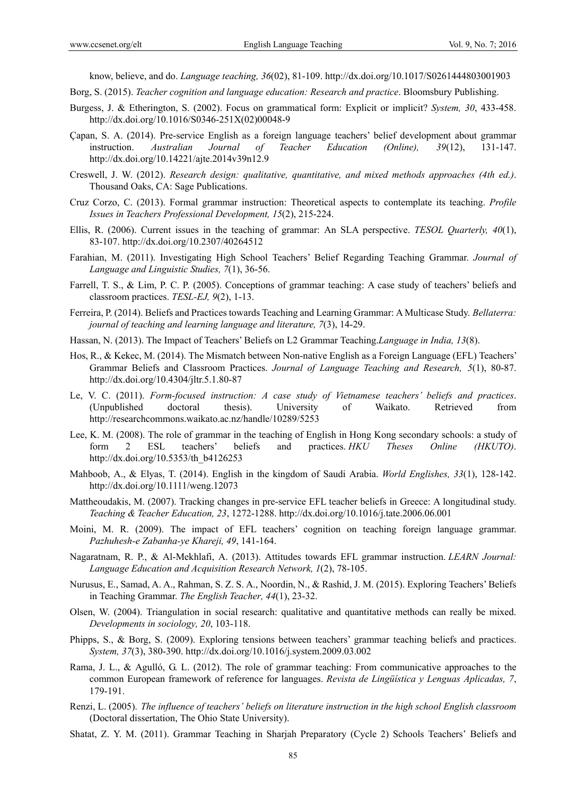know, believe, and do. *Language teaching, 36*(02), 81-109. http://dx.doi.org/10.1017/S0261444803001903

- Borg, S. (2015). *Teacher cognition and language education: Research and practice*. Bloomsbury Publishing.
- Burgess, J. & Etherington, S. (2002). Focus on grammatical form: Explicit or implicit? *System, 30*, 433-458. http://dx.doi.org/10.1016/S0346-251X(02)00048-9
- Çapan, S. A. (2014). Pre-service English as a foreign language teachers' belief development about grammar instruction. *Australian Journal of Teacher Education (Online), 39*(12), 131-147. http://dx.doi.org/10.14221/ajte.2014v39n12.9
- Creswell, J. W. (2012). *Research design: qualitative, quantitative, and mixed methods approaches (4th ed.)*. Thousand Oaks, CA: Sage Publications.
- Cruz Corzo, C. (2013). Formal grammar instruction: Theoretical aspects to contemplate its teaching. *Profile Issues in Teachers Professional Development, 15*(2), 215-224.
- Ellis, R. (2006). Current issues in the teaching of grammar: An SLA perspective. *TESOL Quarterly, 40*(1), 83-107. http://dx.doi.org/10.2307/40264512
- Farahian, M. (2011). Investigating High School Teachers' Belief Regarding Teaching Grammar. *Journal of Language and Linguistic Studies, 7*(1), 36-56.
- Farrell, T. S., & Lim, P. C. P. (2005). Conceptions of grammar teaching: A case study of teachers' beliefs and classroom practices. *TESL-EJ, 9*(2), 1-13.
- Ferreira, P. (2014). Beliefs and Practices towards Teaching and Learning Grammar: A Multicase Study. *Bellaterra: journal of teaching and learning language and literature, 7*(3), 14-29.
- Hassan, N. (2013). The Impact of Teachers' Beliefs on L2 Grammar Teaching.*Language in India, 13*(8).
- Hos, R., & Kekec, M. (2014). The Mismatch between Non-native English as a Foreign Language (EFL) Teachers' Grammar Beliefs and Classroom Practices. *Journal of Language Teaching and Research, 5*(1), 80-87. http://dx.doi.org/10.4304/jltr.5.1.80-87
- Le, V. C. (2011). *Form-focused instruction: A case study of Vietnamese teachers' beliefs and practices*. (Unpublished doctoral thesis). University of Waikato. Retrieved from http://researchcommons.waikato.ac.nz/handle/10289/5253
- Lee, K. M. (2008). The role of grammar in the teaching of English in Hong Kong secondary schools: a study of form 2 ESL teachers' beliefs and practices. *HKU Theses Online (HKUTO)*. http://dx.doi.org/10.5353/th\_b4126253
- Mahboob, A., & Elyas, T. (2014). English in the kingdom of Saudi Arabia. *World Englishes, 33*(1), 128-142. http://dx.doi.org/10.1111/weng.12073
- Mattheoudakis, M. (2007). Tracking changes in pre-service EFL teacher beliefs in Greece: A longitudinal study. *Teaching & Teacher Education, 23*, 1272-1288. http://dx.doi.org/10.1016/j.tate.2006.06.001
- Moini, M. R. (2009). The impact of EFL teachers' cognition on teaching foreign language grammar. *Pazhuhesh-e Zabanha-ye Khareji, 49*, 141-164.
- Nagaratnam, R. P., & Al-Mekhlafi, A. (2013). Attitudes towards EFL grammar instruction. *LEARN Journal: Language Education and Acquisition Research Network, 1*(2), 78-105.
- Nurusus, E., Samad, A. A., Rahman, S. Z. S. A., Noordin, N., & Rashid, J. M. (2015). Exploring Teachers' Beliefs in Teaching Grammar. *The English Teacher, 44*(1), 23-32.
- Olsen, W. (2004). Triangulation in social research: qualitative and quantitative methods can really be mixed. *Developments in sociology, 20*, 103-118.
- Phipps, S., & Borg, S. (2009). Exploring tensions between teachers' grammar teaching beliefs and practices. *System, 37*(3), 380-390. http://dx.doi.org/10.1016/j.system.2009.03.002
- Rama, J. L., & Agulló, G. L. (2012). The role of grammar teaching: From communicative approaches to the common European framework of reference for languages. *Revista de Lingüística y Lenguas Aplicadas, 7*, 179-191.
- Renzi, L. (2005). *The influence of teachers' beliefs on literature instruction in the high school English classroom* (Doctoral dissertation, The Ohio State University).
- Shatat, Z. Y. M. (2011). Grammar Teaching in Sharjah Preparatory (Cycle 2) Schools Teachers' Beliefs and